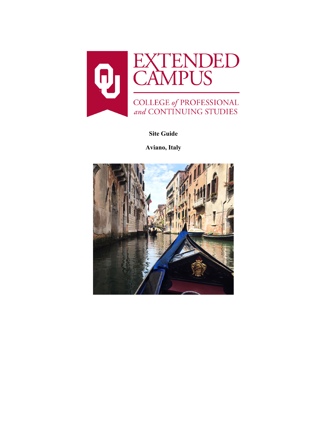

**Site Guide**

**Aviano, Italy**

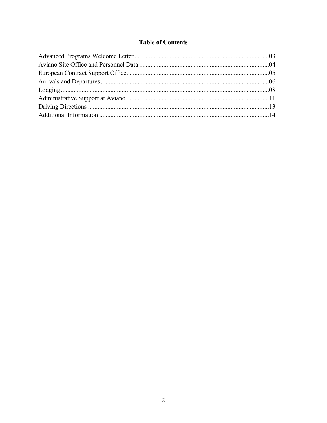## **Table of Contents**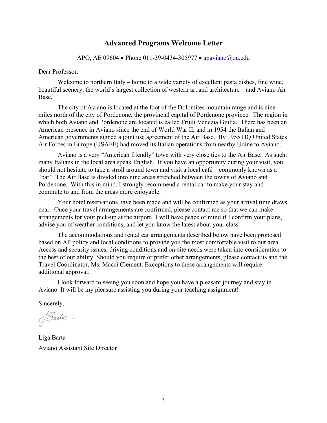## **Advanced Programs Welcome Letter**

#### APO, AE 09604 • Phone 011-39-0434-305977 • [apaviano@ou.edu](mailto:apaviano@ou.edu)

#### Dear Professor:

Welcome to northern Italy – home to a wide variety of excellent pasta dishes, fine wine, beautiful scenery, the world's largest collection of western art and architecture – and Aviano Air Base.

The city of Aviano is located at the foot of the Dolomites mountain range and is nine miles north of the city of Pordenone, the provincial capital of Pordenone province. The region in which both Aviano and Pordenone are located is called Friuli Venezia Giulia. There has been an American presence in Aviano since the end of World War II, and in 1954 the Italian and American governments signed a joint use agreement of the Air Base. By 1955 HQ United States Air Forces in Europe (USAFE) had moved its Italian operations from nearby Udine to Aviano.

Aviano is a very "American friendly" town with very close ties to the Air Base. As such, many Italians in the local area speak English. If you have an opportunity during your visit, you should not hesitate to take a stroll around town and visit a local café – commonly known as a "bar". The Air Base is divided into nine areas stretched between the towns of Aviano and Pordenone. With this in mind, I strongly recommend a rental car to make your stay and commute to and from the areas more enjoyable.

Your hotel reservations have been made and will be confirmed as your arrival time draws near. Once your travel arrangements are confirmed, please contact me so that we can make arrangements for your pick-up at the airport. I will have peace of mind if I confirm your plans, advise you of weather conditions, and let you know the latest about your class.

The accommodations and rental car arrangements described below have been proposed based on AP policy and local conditions to provide you the most comfortable visit to our area. Access and security issues, driving conditions and on-site needs were taken into consideration to the best of our ability. Should you require or prefer other arrangements, please contact us and the Travel Coordinator, Ms. Macci Clement. Exceptions to these arrangements will require additional approval.

I look forward to seeing you soon and hope you have a pleasant journey and stay in Aviano. It will be my pleasure assisting you during your teaching assignment!

Sincerely,

*ABarte* 

Liga Barta Aviano Assistant Site Director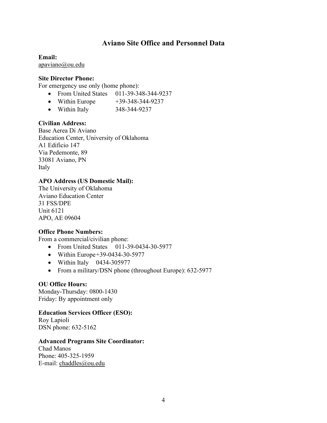# **Aviano Site Office and Personnel Data**

**Email:** [apaviano@ou.edu](mailto:apaviano@ou.edu)

#### **Site Director Phone:**

For emergency use only (home phone):

- From United States 011-39-348-344-9237
- Within Europe  $+39-348-344-9237$
- Within Italy 348-344-9237

#### **Civilian Address:**

Base Aerea Di Aviano Education Center, University of Oklahoma A1 Edificio 147 Via Pedemonte, 89 33081 Aviano, PN Italy

### **APO Address (US Domestic Mail):**

The University of Oklahoma Aviano Education Center 31 FSS/DPE Unit 6121 APO, AE 09604

#### **Office Phone Numbers:**

From a commercial/civilian phone:

- From United States 011-39-0434-30-5977
- Within Europe + 39-0434-30-5977
- Within Italy 0434-305977
- From a military/DSN phone (throughout Europe): 632-5977

#### **OU Office Hours:**

Monday-Thursday: 0800-1430 Friday: By appointment only

#### **Education Services Officer (ESO):**

Roy Lapioli DSN phone: 632-5162

#### **Advanced Programs Site Coordinator:**

Chad Manos Phone: 405-325-1959 E-mail: [chaddles@ou.edu](mailto:chaddles@ou.edu)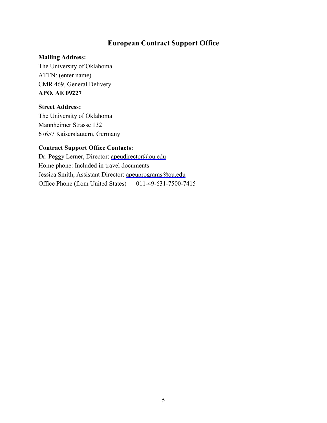# **European Contract Support Office**

## **Mailing Address:**

The University of Oklahoma ATTN: (enter name) CMR 469, General Delivery **APO, AE 09227** 

### **Street Address:**

The University of Oklahoma Mannheimer Strasse 132 67657 Kaiserslautern, Germany

# **Contract Support Office Contacts:**

Dr. Peggy Lerner, Director: [apeudirector@ou.edu](mailto:apeudirector@ou.edu) Home phone: Included in travel documents Jessica Smith, Assistant Director: [apeuprograms@ou.edu](mailto:apeuprograms@ou.edu) Office Phone (from United States) 011-49-631-7500-7415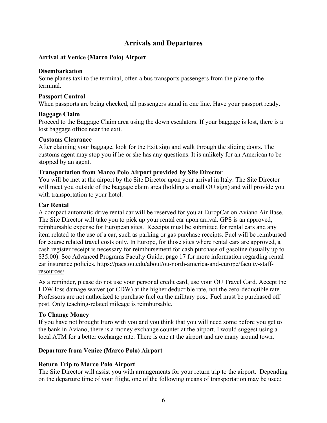# **Arrivals and Departures**

### **Arrival at Venice (Marco Polo) Airport**

#### **Disembarkation**

Some planes taxi to the terminal; often a bus transports passengers from the plane to the terminal.

#### **Passport Control**

When passports are being checked, all passengers stand in one line. Have your passport ready.

#### **Baggage Claim**

Proceed to the Baggage Claim area using the down escalators. If your baggage is lost, there is a lost baggage office near the exit.

#### **Customs Clearance**

After claiming your baggage, look for the Exit sign and walk through the sliding doors. The customs agent may stop you if he or she has any questions. It is unlikely for an American to be stopped by an agent.

#### **Transportation from Marco Polo Airport provided by Site Director**

You will be met at the airport by the Site Director upon your arrival in Italy. The Site Director will meet you outside of the baggage claim area (holding a small OU sign) and will provide you with transportation to your hotel.

#### **Car Rental**

A compact automatic drive rental car will be reserved for you at EuropCar on Aviano Air Base. The Site Director will take you to pick up your rental car upon arrival. GPS is an approved, reimbursable expense for European sites. Receipts must be submitted for rental cars and any item related to the use of a car, such as parking or gas purchase receipts. Fuel will be reimbursed for course related travel costs only. In Europe, for those sites where rental cars are approved, a cash register receipt is necessary for reimbursement for cash purchase of gasoline (usually up to \$35.00). See Advanced Programs Faculty Guide, page 17 for more information regarding rental car insurance policies. [https://pacs.ou.edu/about/ou-north-america-and-europe/faculty-staff](https://pacs.ou.edu/about/ou-north-america-and-europe/faculty-staff-resources/)[resources/](https://pacs.ou.edu/about/ou-north-america-and-europe/faculty-staff-resources/)

As a reminder, please do not use your personal credit card, use your OU Travel Card. Accept the LDW loss damage waiver (or CDW) at the higher deductible rate, not the zero-deductible rate. Professors are not authorized to purchase fuel on the military post. Fuel must be purchased off post. Only teaching-related mileage is reimbursable.

#### **To Change Money**

If you have not brought Euro with you and you think that you will need some before you get to the bank in Aviano, there is a money exchange counter at the airport. I would suggest using a local ATM for a better exchange rate. There is one at the airport and are many around town.

#### **Departure from Venice (Marco Polo) Airport**

#### **Return Trip to Marco Polo Airport**

The Site Director will assist you with arrangements for your return trip to the airport. Depending on the departure time of your flight, one of the following means of transportation may be used: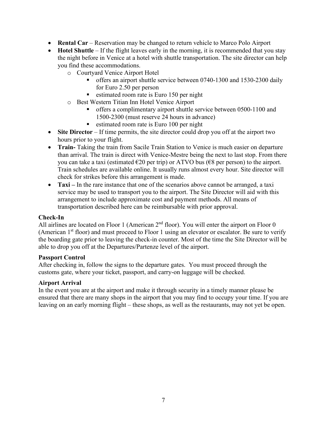- **Rental Car** Reservation may be changed to return vehicle to Marco Polo Airport
- **Hotel Shuttle** If the flight leaves early in the morning, it is recommended that you stay the night before in Venice at a hotel with shuttle transportation. The site director can help you find these accommodations.
	- o Courtyard Venice Airport Hotel
		- offers an airport shuttle service between 0740-1300 and 1530-2300 daily for Euro 2.50 per person
		- $\blacksquare$  estimated room rate is Euro 150 per night
	- o Best Western Titian Inn Hotel Venice Airport
		- offers a complimentary airport shuttle service between 0500-1100 and 1500-2300 (must reserve 24 hours in advance)
		- $\blacksquare$  estimated room rate is Euro 100 per night
- **Site Director** If time permits, the site director could drop you off at the airport two hours prior to your flight.
- **Train-** Taking the train from Sacile Train Station to Venice is much easier on departure than arrival. The train is direct with Venice-Mestre being the next to last stop. From there you can take a taxi (estimated  $\epsilon$ 20 per trip) or ATVO bus ( $\epsilon$ 8 per person) to the airport. Train schedules are available online. It usually runs almost every hour. Site director will check for strikes before this arrangement is made.
- **Taxi** In the rare instance that one of the scenarios above cannot be arranged, a taxi service may be used to transport you to the airport. The Site Director will aid with this arrangement to include approximate cost and payment methods. All means of transportation described here can be reimbursable with prior approval.

## **Check-In**

All airlines are located on Floor 1 (American  $2<sup>nd</sup>$  floor). You will enter the airport on Floor 0 (American  $1<sup>st</sup>$  floor) and must proceed to Floor 1 using an elevator or escalator. Be sure to verify the boarding gate prior to leaving the check-in counter. Most of the time the Site Director will be able to drop you off at the Departures/Partenze level of the airport.

#### **Passport Control**

After checking in, follow the signs to the departure gates. You must proceed through the customs gate, where your ticket, passport, and carry-on luggage will be checked.

## **Airport Arrival**

In the event you are at the airport and make it through security in a timely manner please be ensured that there are many shops in the airport that you may find to occupy your time. If you are leaving on an early morning flight – these shops, as well as the restaurants, may not yet be open.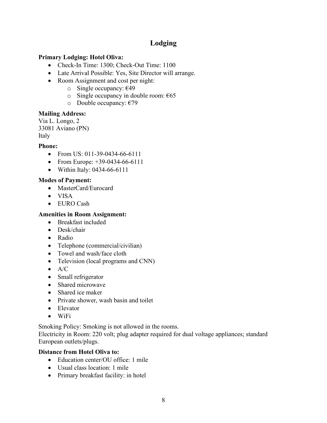# **Lodging**

## **Primary Lodging: Hotel Oliva:**

- Check-In Time: 1300; Check-Out Time: 1100
- Late Arrival Possible: Yes, Site Director will arrange.
- Room Assignment and cost per night:
	- o Single occupancy: €49
	- o Single occupancy in double room:  $\epsilon$ 65
	- o Double occupancy:  $€79$

## **Mailing Address:**

Via L. Longo, 2 33081 Aviano (PN) Italy

## **Phone:**

- From US: 011-39-0434-66-6111
- From Europe: +39-0434-66-6111
- Within Italy: 0434-66-6111

## **Modes of Payment:**

- MasterCard/Eurocard
- VISA
- EURO Cash

## **Amenities in Room Assignment:**

- Breakfast included
- Desk/chair
- Radio
- Telephone (commercial/civilian)
- Towel and wash/face cloth
- Television (local programs and CNN)
- $\bullet$  A/C
- Small refrigerator
- Shared microwave
- Shared ice maker
- Private shower, wash basin and toilet
- Elevator
- WiFi

Smoking Policy: Smoking is not allowed in the rooms.

Electricity in Room: 220 volt; plug adapter required for dual voltage appliances; standard European outlets/plugs.

# **Distance from Hotel Oliva to:**

- Education center/OU office: 1 mile
- Usual class location: 1 mile
- Primary breakfast facility: in hotel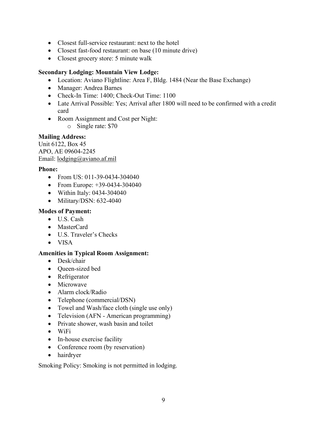- Closest full-service restaurant: next to the hotel
- Closest fast-food restaurant: on base (10 minute drive)
- Closest grocery store: 5 minute walk

## **Secondary Lodging: Mountain View Lodge:**

- Location: Aviano Flightline: Area F, Bldg. 1484 (Near the Base Exchange)
- Manager: Andrea Barnes
- Check-In Time: 1400; Check-Out Time: 1100
- Late Arrival Possible: Yes; Arrival after 1800 will need to be confirmed with a credit card
- Room Assignment and Cost per Night:
	- o Single rate: \$70

## **Mailing Address:**

Unit 6122, Box 45 APO, AE 09604-2245 Email: [lodging@aviano.af.mil](mailto:lodging@aviano.af.mil)

## **Phone:**

- From US: 011-39-0434-304040
- From Europe: +39-0434-304040
- Within Italy: 0434-304040
- Military/DSN: 632-4040

## **Modes of Payment:**

- U.S. Cash
- MasterCard
- U.S. Traveler's Checks
- VISA

## **Amenities in Typical Room Assignment:**

- Desk/chair
- Queen-sized bed
- Refrigerator
- Microwave
- Alarm clock/Radio
- Telephone (commercial/DSN)
- Towel and Wash/face cloth (single use only)
- Television (AFN American programming)
- Private shower, wash basin and toilet
- WiFi
- In-house exercise facility
- Conference room (by reservation)
- hairdryer

Smoking Policy: Smoking is not permitted in lodging.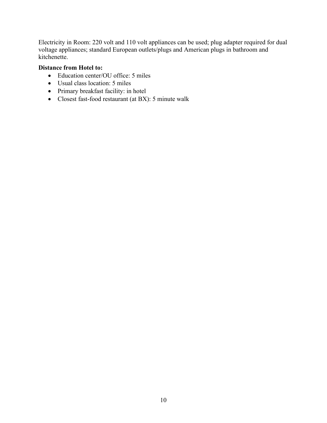Electricity in Room: 220 volt and 110 volt appliances can be used; plug adapter required for dual voltage appliances; standard European outlets/plugs and American plugs in bathroom and kitchenette.

### **Distance from Hotel to:**

- Education center/OU office: 5 miles
- Usual class location: 5 miles
- Primary breakfast facility: in hotel
- Closest fast-food restaurant (at BX): 5 minute walk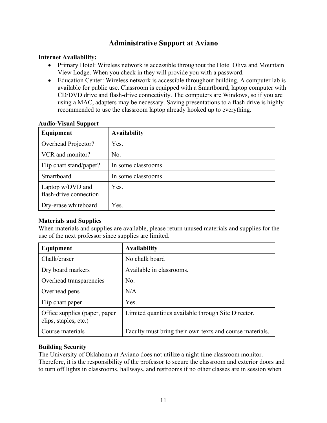# **Administrative Support at Aviano**

## **Internet Availability:**

- Primary Hotel: Wireless network is accessible throughout the Hotel Oliva and Mountain View Lodge. When you check in they will provide you with a password.
- Education Center: Wireless network is accessible throughout building. A computer lab is available for public use. Classroom is equipped with a Smartboard, laptop computer with CD/DVD drive and flash-drive connectivity. The computers are Windows, so if you are using a MAC, adapters may be necessary. Saving presentations to a flash drive is highly recommended to use the classroom laptop already hooked up to everything.

| $1100 - 1300$ at $00000$<br>Equipment      | <b>Availability</b> |
|--------------------------------------------|---------------------|
| Overhead Projector?                        | Yes.                |
| VCR and monitor?                           | No.                 |
| Flip chart stand/paper?                    | In some classrooms. |
| Smartboard                                 | In some classrooms. |
| Laptop w/DVD and<br>flash-drive connection | Yes.                |
| Dry-erase whiteboard                       | Yes.                |

## **Audio-Visual Support**

## **Materials and Supplies**

When materials and supplies are available, please return unused materials and supplies for the use of the next professor since supplies are limited.

| Equipment                                              | <b>Availability</b>                                      |
|--------------------------------------------------------|----------------------------------------------------------|
| Chalk/eraser                                           | No chalk board                                           |
| Dry board markers                                      | Available in classrooms.                                 |
| Overhead transparencies                                | No.                                                      |
| Overhead pens                                          | N/A                                                      |
| Flip chart paper                                       | Yes.                                                     |
| Office supplies (paper, paper<br>clips, staples, etc.) | Limited quantities available through Site Director.      |
| Course materials                                       | Faculty must bring their own texts and course materials. |

## **Building Security**

The University of Oklahoma at Aviano does not utilize a night time classroom monitor. Therefore, it is the responsibility of the professor to secure the classroom and exterior doors and to turn off lights in classrooms, hallways, and restrooms if no other classes are in session when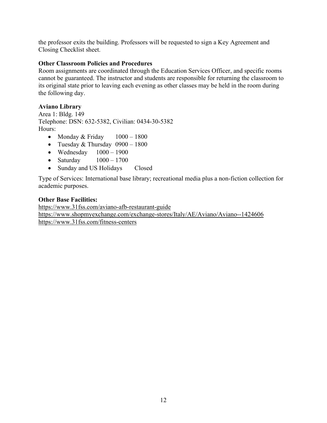the professor exits the building. Professors will be requested to sign a Key Agreement and Closing Checklist sheet.

## **Other Classroom Policies and Procedures**

Room assignments are coordinated through the Education Services Officer, and specific rooms cannot be guaranteed. The instructor and students are responsible for returning the classroom to its original state prior to leaving each evening as other classes may be held in the room during the following day.

## **Aviano Library**

Area 1: Bldg. 149 Telephone: DSN: 632-5382, Civilian: 0434-30-5382 Hours:

- Monday & Friday  $1000 1800$
- Tuesday & Thursday  $0900 1800$
- Wednesday  $1000 1900$
- Saturday  $1000 1700$
- Sunday and US Holidays Closed

Type of Services: International base library; recreational media plus a non-fiction collection for academic purposes.

## **Other Base Facilities:**

<https://www.31fss.com/aviano-afb-restaurant-guide> <https://www.shopmyexchange.com/exchange-stores/Italy/AE/Aviano/Aviano--1424606> <https://www.31fss.com/fitness-centers>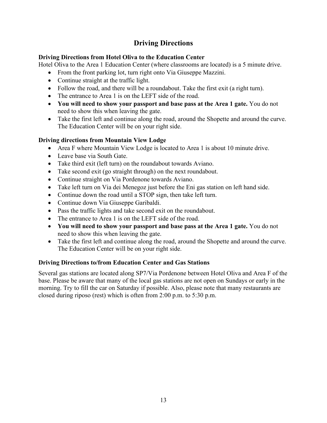# **Driving Directions**

## **Driving Directions from Hotel Oliva to the Education Center**

Hotel Oliva to the Area 1 Education Center (where classrooms are located) is a 5 minute drive.

- From the front parking lot, turn right onto Via Giuseppe Mazzini.
- Continue straight at the traffic light.
- Follow the road, and there will be a roundabout. Take the first exit (a right turn).
- The entrance to Area 1 is on the LEFT side of the road.
- **You will need to show your passport and base pass at the Area 1 gate.** You do not need to show this when leaving the gate.
- Take the first left and continue along the road, around the Shopette and around the curve. The Education Center will be on your right side.

## **Driving directions from Mountain View Lodge**

- Area F where Mountain View Lodge is located to Area 1 is about 10 minute drive.
- Leave base via South Gate.
- Take third exit (left turn) on the roundabout towards Aviano.
- Take second exit (go straight through) on the next roundabout.
- Continue straight on Via Pordenone towards Aviano.
- Take left turn on Via dei Menegoz just before the Eni gas station on left hand side.
- Continue down the road until a STOP sign, then take left turn.
- Continue down Via Giuseppe Garibaldi.
- Pass the traffic lights and take second exit on the roundabout.
- The entrance to Area 1 is on the LEFT side of the road.
- **You will need to show your passport and base pass at the Area 1 gate.** You do not need to show this when leaving the gate.
- Take the first left and continue along the road, around the Shopette and around the curve. The Education Center will be on your right side.

# **Driving Directions to/from Education Center and Gas Stations**

Several gas stations are located along SP7/Via Pordenone between Hotel Oliva and Area F of the base. Please be aware that many of the local gas stations are not open on Sundays or early in the morning. Try to fill the car on Saturday if possible. Also, please note that many restaurants are closed during riposo (rest) which is often from 2:00 p.m. to 5:30 p.m.